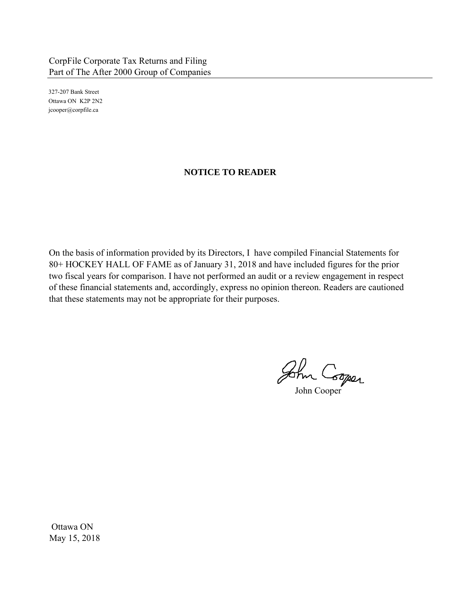327-207 Bank Street Ottawa ON K2P 2N2 jcooper@corpfile.ca

## **NOTICE TO READER**

On the basis of information provided by its Directors, I have compiled Financial Statements for 80+ HOCKEY HALL OF FAME as of January 31, 2018 and have included figures for the prior two fiscal years for comparison. I have not performed an audit or a review engagement in respect of these financial statements and, accordingly, express no opinion thereon. Readers are cautioned that these statements may not be appropriate for their purposes.

John Cooper

Ottawa ON May 15, 2018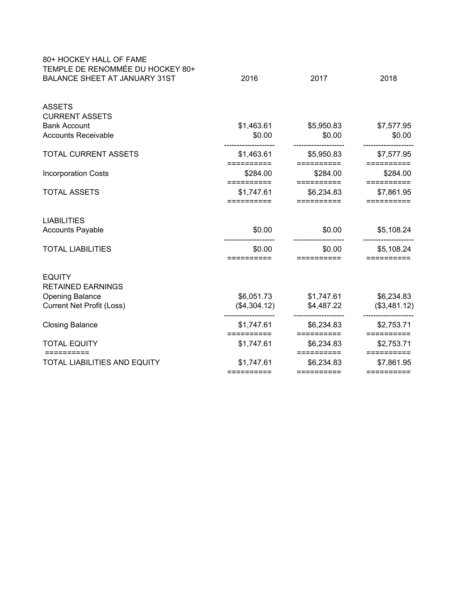| 80+ HOCKEY HALL OF FAME<br>TEMPLE DE RENOMMÉE DU HOCKEY 80+<br><b>BALANCE SHEET AT JANUARY 31ST</b> | 2016                     | 2017                     | 2018                     |
|-----------------------------------------------------------------------------------------------------|--------------------------|--------------------------|--------------------------|
|                                                                                                     |                          |                          |                          |
| <b>ASSETS</b><br><b>CURRENT ASSETS</b>                                                              |                          |                          |                          |
| <b>Bank Account</b>                                                                                 | \$1,463.61               | \$5,950.83               | \$7,577.95               |
| <b>Accounts Receivable</b>                                                                          | \$0.00                   | \$0.00                   | \$0.00                   |
| <b>TOTAL CURRENT ASSETS</b>                                                                         | \$1,463.61<br>========== | \$5,950.83<br>========== | \$7,577.95<br>========== |
| <b>Incorporation Costs</b>                                                                          | \$284.00                 | \$284.00                 | \$284.00                 |
| <b>TOTAL ASSETS</b>                                                                                 | ==========<br>\$1,747.61 | ==========<br>\$6,234.83 | ==========<br>\$7,861.95 |
|                                                                                                     | ==========               | ==========               | ==========               |
| <b>LIABILITIES</b>                                                                                  |                          |                          |                          |
| <b>Accounts Payable</b>                                                                             | \$0.00                   | \$0.00                   | \$5,108.24               |
| <b>TOTAL LIABILITIES</b>                                                                            | \$0.00                   | \$0.00                   | \$5,108.24               |
|                                                                                                     | ==========               | ==========               | ==========               |
| <b>EQUITY</b><br><b>RETAINED EARNINGS</b>                                                           |                          |                          |                          |
| <b>Opening Balance</b>                                                                              | \$6,051.73               | \$1,747.61               | \$6,234.83               |
| <b>Current Net Profit (Loss)</b>                                                                    | (\$4,304.12)             | \$4,487.22               | (\$3,481.12)             |
| <b>Closing Balance</b>                                                                              | \$1,747.61               | \$6,234.83               | \$2,753.71               |
|                                                                                                     | ==========               | ==========               | ==========               |
| <b>TOTAL EQUITY</b><br>==========                                                                   | \$1,747.61               | \$6,234.83<br>========== | \$2,753.71<br>========== |
| <b>TOTAL LIABILITIES AND EQUITY</b>                                                                 | \$1,747.61               | \$6,234.83               | \$7,861.95               |
|                                                                                                     | ==========               | $=$ = = = = = = = = =    | ==========               |